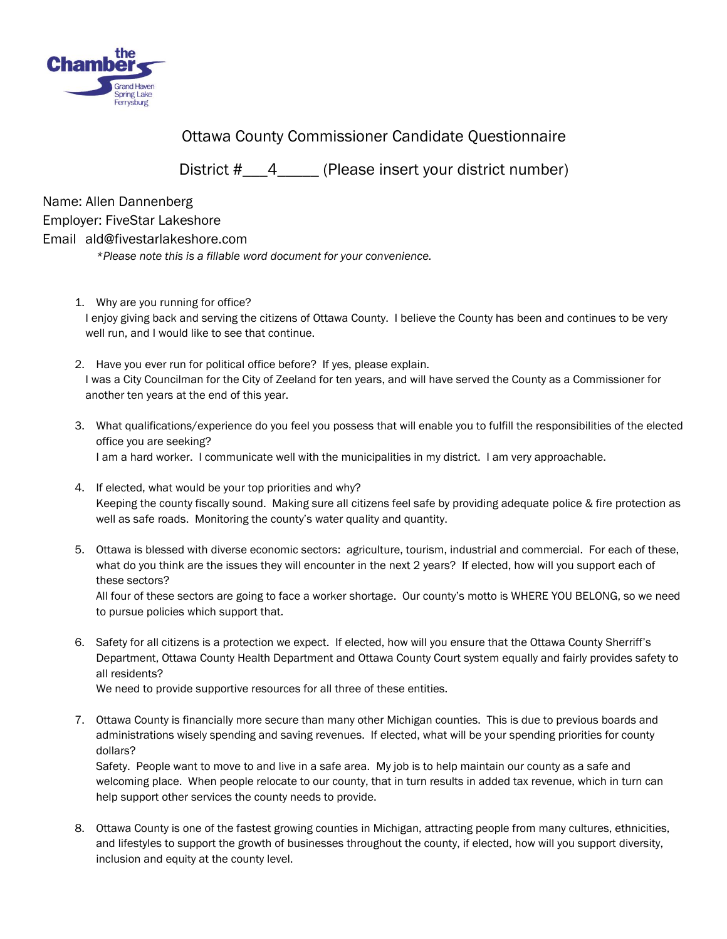

Ottawa County Commissioner Candidate Questionnaire

District #\_\_\_4\_\_\_\_\_\_ (Please insert your district number)

Name: Allen Dannenberg Employer: FiveStar Lakeshore Email ald@fivestarlakeshore.com

*\*Please note this is a fillable word document for your convenience.* 

- 1. Why are you running for office? I enjoy giving back and serving the citizens of Ottawa County. I believe the County has been and continues to be very well run, and I would like to see that continue.
- 2. Have you ever run for political office before? If yes, please explain. I was a City Councilman for the City of Zeeland for ten years, and will have served the County as a Commissioner for another ten years at the end of this year.
- 3. What qualifications/experience do you feel you possess that will enable you to fulfill the responsibilities of the elected office you are seeking? I am a hard worker. I communicate well with the municipalities in my district. I am very approachable.
- 4. If elected, what would be your top priorities and why? Keeping the county fiscally sound. Making sure all citizens feel safe by providing adequate police & fire protection as well as safe roads. Monitoring the county's water quality and quantity.
- 5. Ottawa is blessed with diverse economic sectors: agriculture, tourism, industrial and commercial. For each of these, what do you think are the issues they will encounter in the next 2 years? If elected, how will you support each of these sectors?

All four of these sectors are going to face a worker shortage. Our county's motto is WHERE YOU BELONG, so we need to pursue policies which support that.

6. Safety for all citizens is a protection we expect. If elected, how will you ensure that the Ottawa County Sherriff's Department, Ottawa County Health Department and Ottawa County Court system equally and fairly provides safety to all residents?

We need to provide supportive resources for all three of these entities.

7. Ottawa County is financially more secure than many other Michigan counties. This is due to previous boards and administrations wisely spending and saving revenues. If elected, what will be your spending priorities for county dollars?

Safety. People want to move to and live in a safe area. My job is to help maintain our county as a safe and welcoming place. When people relocate to our county, that in turn results in added tax revenue, which in turn can help support other services the county needs to provide.

8. Ottawa County is one of the fastest growing counties in Michigan, attracting people from many cultures, ethnicities, and lifestyles to support the growth of businesses throughout the county, if elected, how will you support diversity, inclusion and equity at the county level.